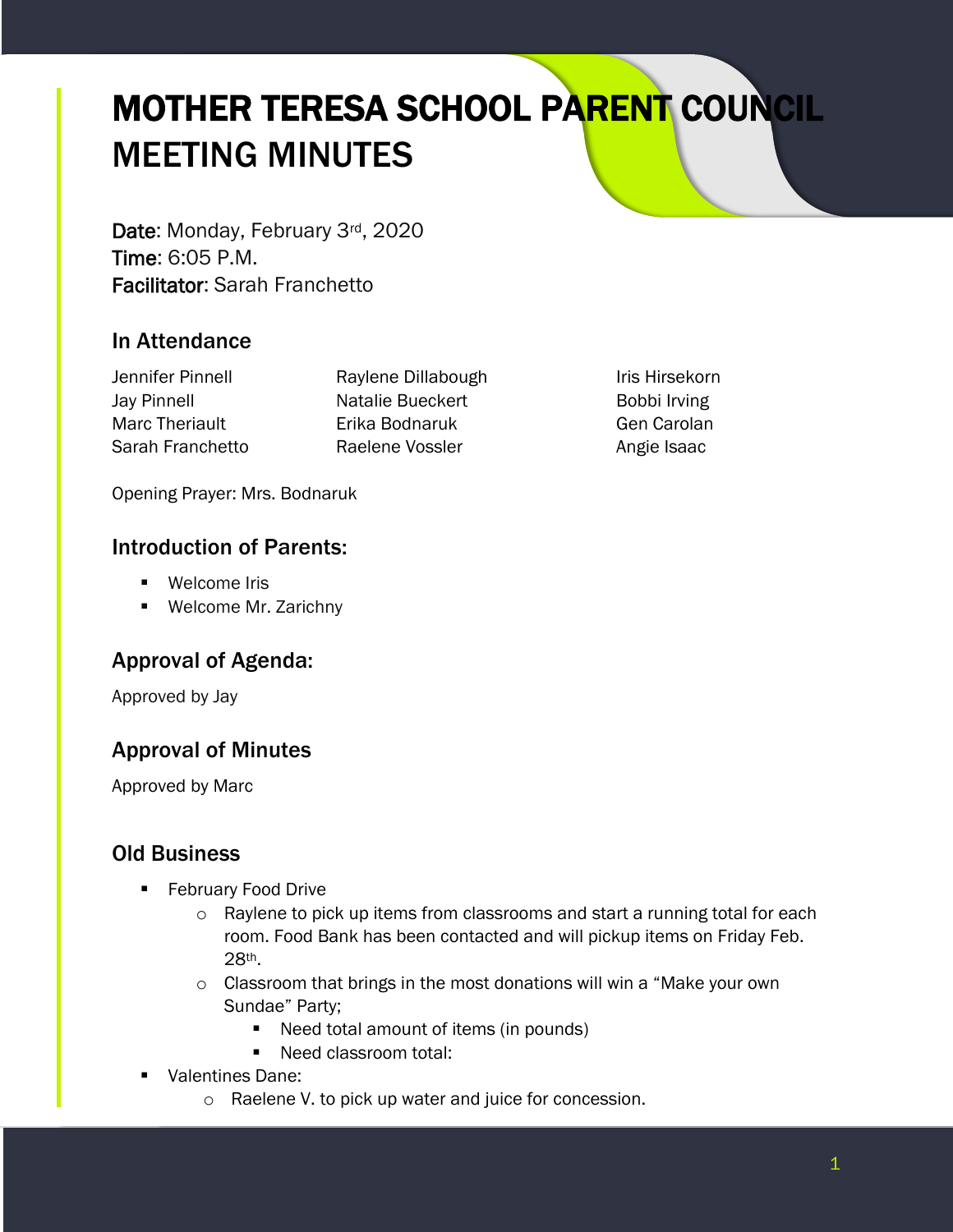# MOTHER TERESA SCHOOL PARENT COUNCIL MEETING MINUTES

Date: Monday, February 3rd, 2020 Time: 6:05 P.M. Facilitator: Sarah Franchetto

# In Attendance

Jennifer Pinnell **Raylene Dillabough** Iris Hirsekorn Jay Pinnell **Natalie Bueckert Bobbi Irving** Marc Theriault **Erika Bodnaruk** Gen Carolan Sarah Franchetto **Raelene Vossler Raelene Vossler** Angie Isaac

Opening Prayer: Mrs. Bodnaruk

#### Introduction of Parents:

- **Welcome Iris**
- **Welcome Mr. Zarichny**

# Approval of Agenda:

Approved by Jay

# Approval of Minutes

Approved by Marc

# Old Business

- February Food Drive
	- o Raylene to pick up items from classrooms and start a running total for each room. Food Bank has been contacted and will pickup items on Friday Feb. 28th.
	- o Classroom that brings in the most donations will win a "Make your own Sundae" Party;
		- Need total amount of items (in pounds)
		- Need classroom total:
- Valentines Dane:
	- o Raelene V. to pick up water and juice for concession.